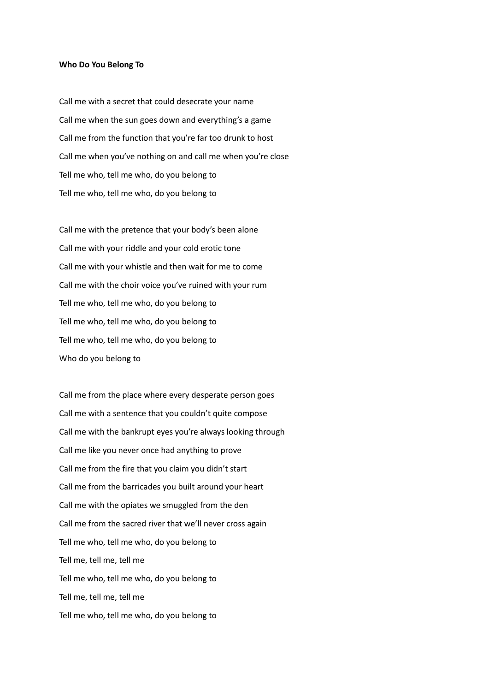## **Who Do You Belong To**

Call me with a secret that could desecrate your name Call me when the sun goes down and everything's a game Call me from the function that you're far too drunk to host Call me when you've nothing on and call me when you're close Tell me who, tell me who, do you belong to Tell me who, tell me who, do you belong to

Call me with the pretence that your body's been alone Call me with your riddle and your cold erotic tone Call me with your whistle and then wait for me to come Call me with the choir voice you've ruined with your rum Tell me who, tell me who, do you belong to Tell me who, tell me who, do you belong to Tell me who, tell me who, do you belong to Who do you belong to

Call me from the place where every desperate person goes Call me with a sentence that you couldn't quite compose Call me with the bankrupt eyes you're always looking through Call me like you never once had anything to prove Call me from the fire that you claim you didn't start Call me from the barricades you built around your heart Call me with the opiates we smuggled from the den Call me from the sacred river that we'll never cross again Tell me who, tell me who, do you belong to Tell me, tell me, tell me Tell me who, tell me who, do you belong to Tell me, tell me, tell me Tell me who, tell me who, do you belong to